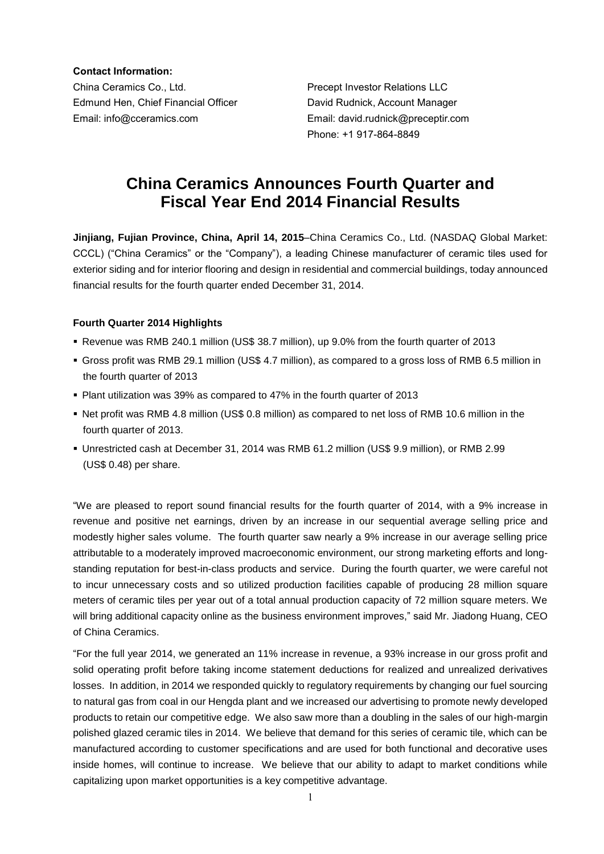**Contact Information:**

China Ceramics Co., Ltd. Precept Investor Relations LLC Edmund Hen, Chief Financial Officer David Rudnick, Account Manager Email: info@cceramics.com Email: david.rudnick@preceptir.com

Phone: +1 917-864-8849

# **China Ceramics Announces Fourth Quarter and Fiscal Year End 2014 Financial Results**

**Jinjiang, Fujian Province, China, April 14, 2015**–China Ceramics Co., Ltd. (NASDAQ Global Market: CCCL) ("China Ceramics" or the "Company"), a leading Chinese manufacturer of ceramic tiles used for exterior siding and for interior flooring and design in residential and commercial buildings, today announced financial results for the fourth quarter ended December 31, 2014.

## **Fourth Quarter 2014 Highlights**

- Revenue was RMB 240.1 million (US\$ 38.7 million), up 9.0% from the fourth quarter of 2013
- Gross profit was RMB 29.1 million (US\$ 4.7 million), as compared to a gross loss of RMB 6.5 million in the fourth quarter of 2013
- Plant utilization was 39% as compared to 47% in the fourth quarter of 2013
- Net profit was RMB 4.8 million (US\$ 0.8 million) as compared to net loss of RMB 10.6 million in the fourth quarter of 2013.
- Unrestricted cash at December 31, 2014 was RMB 61.2 million (US\$ 9.9 million), or RMB 2.99 (US\$ 0.48) per share.

"We are pleased to report sound financial results for the fourth quarter of 2014, with a 9% increase in revenue and positive net earnings, driven by an increase in our sequential average selling price and modestly higher sales volume. The fourth quarter saw nearly a 9% increase in our average selling price attributable to a moderately improved macroeconomic environment, our strong marketing efforts and longstanding reputation for best-in-class products and service. During the fourth quarter, we were careful not to incur unnecessary costs and so utilized production facilities capable of producing 28 million square meters of ceramic tiles per year out of a total annual production capacity of 72 million square meters. We will bring additional capacity online as the business environment improves," said Mr. Jiadong Huang, CEO of China Ceramics.

"For the full year 2014, we generated an 11% increase in revenue, a 93% increase in our gross profit and solid operating profit before taking income statement deductions for realized and unrealized derivatives losses. In addition, in 2014 we responded quickly to regulatory requirements by changing our fuel sourcing to natural gas from coal in our Hengda plant and we increased our advertising to promote newly developed products to retain our competitive edge. We also saw more than a doubling in the sales of our high-margin polished glazed ceramic tiles in 2014. We believe that demand for this series of ceramic tile, which can be manufactured according to customer specifications and are used for both functional and decorative uses inside homes, will continue to increase. We believe that our ability to adapt to market conditions while capitalizing upon market opportunities is a key competitive advantage.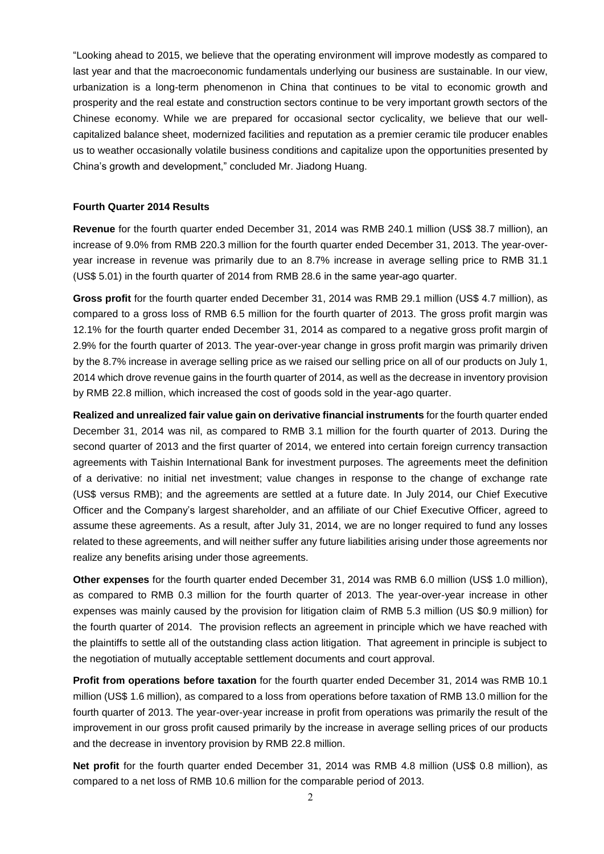"Looking ahead to 2015, we believe that the operating environment will improve modestly as compared to last year and that the macroeconomic fundamentals underlying our business are sustainable. In our view, urbanization is a long-term phenomenon in China that continues to be vital to economic growth and prosperity and the real estate and construction sectors continue to be very important growth sectors of the Chinese economy. While we are prepared for occasional sector cyclicality, we believe that our wellcapitalized balance sheet, modernized facilities and reputation as a premier ceramic tile producer enables us to weather occasionally volatile business conditions and capitalize upon the opportunities presented by China's growth and development," concluded Mr. Jiadong Huang.

#### **Fourth Quarter 2014 Results**

**Revenue** for the fourth quarter ended December 31, 2014 was RMB 240.1 million (US\$ 38.7 million), an increase of 9.0% from RMB 220.3 million for the fourth quarter ended December 31, 2013. The year-overyear increase in revenue was primarily due to an 8.7% increase in average selling price to RMB 31.1 (US\$ 5.01) in the fourth quarter of 2014 from RMB 28.6 in the same year-ago quarter.

**Gross profit** for the fourth quarter ended December 31, 2014 was RMB 29.1 million (US\$ 4.7 million), as compared to a gross loss of RMB 6.5 million for the fourth quarter of 2013. The gross profit margin was 12.1% for the fourth quarter ended December 31, 2014 as compared to a negative gross profit margin of 2.9% for the fourth quarter of 2013. The year-over-year change in gross profit margin was primarily driven by the 8.7% increase in average selling price as we raised our selling price on all of our products on July 1, 2014 which drove revenue gains in the fourth quarter of 2014, as well as the decrease in inventory provision by RMB 22.8 million, which increased the cost of goods sold in the year-ago quarter.

**Realized and unrealized fair value gain on derivative financial instruments** for the fourth quarter ended December 31, 2014 was nil, as compared to RMB 3.1 million for the fourth quarter of 2013. During the second quarter of 2013 and the first quarter of 2014, we entered into certain foreign currency transaction agreements with Taishin International Bank for investment purposes. The agreements meet the definition of a derivative: no initial net investment; value changes in response to the change of exchange rate (US\$ versus RMB); and the agreements are settled at a future date. In July 2014, our Chief Executive Officer and the Company's largest shareholder, and an affiliate of our Chief Executive Officer, agreed to assume these agreements. As a result, after July 31, 2014, we are no longer required to fund any losses related to these agreements, and will neither suffer any future liabilities arising under those agreements nor realize any benefits arising under those agreements.

**Other expenses** for the fourth quarter ended December 31, 2014 was RMB 6.0 million (US\$ 1.0 million), as compared to RMB 0.3 million for the fourth quarter of 2013. The year-over-year increase in other expenses was mainly caused by the provision for litigation claim of RMB 5.3 million (US \$0.9 million) for the fourth quarter of 2014. The provision reflects an agreement in principle which we have reached with the plaintiffs to settle all of the outstanding class action litigation. That agreement in principle is subject to the negotiation of mutually acceptable settlement documents and court approval.

**Profit from operations before taxation** for the fourth quarter ended December 31, 2014 was RMB 10.1 million (US\$ 1.6 million), as compared to a loss from operations before taxation of RMB 13.0 million for the fourth quarter of 2013. The year-over-year increase in profit from operations was primarily the result of the improvement in our gross profit caused primarily by the increase in average selling prices of our products and the decrease in inventory provision by RMB 22.8 million.

**Net profit** for the fourth quarter ended December 31, 2014 was RMB 4.8 million (US\$ 0.8 million), as compared to a net loss of RMB 10.6 million for the comparable period of 2013.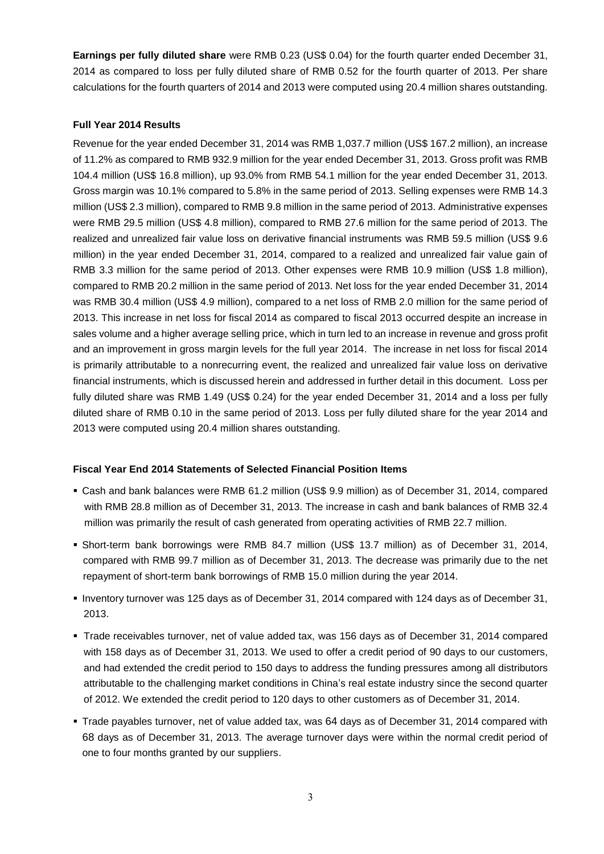**Earnings per fully diluted share** were RMB 0.23 (US\$ 0.04) for the fourth quarter ended December 31, 2014 as compared to loss per fully diluted share of RMB 0.52 for the fourth quarter of 2013. Per share calculations for the fourth quarters of 2014 and 2013 were computed using 20.4 million shares outstanding.

### **Full Year 2014 Results**

Revenue for the year ended December 31, 2014 was RMB 1,037.7 million (US\$ 167.2 million), an increase of 11.2% as compared to RMB 932.9 million for the year ended December 31, 2013. Gross profit was RMB 104.4 million (US\$ 16.8 million), up 93.0% from RMB 54.1 million for the year ended December 31, 2013. Gross margin was 10.1% compared to 5.8% in the same period of 2013. Selling expenses were RMB 14.3 million (US\$ 2.3 million), compared to RMB 9.8 million in the same period of 2013. Administrative expenses were RMB 29.5 million (US\$ 4.8 million), compared to RMB 27.6 million for the same period of 2013. The realized and unrealized fair value loss on derivative financial instruments was RMB 59.5 million (US\$ 9.6 million) in the year ended December 31, 2014, compared to a realized and unrealized fair value gain of RMB 3.3 million for the same period of 2013. Other expenses were RMB 10.9 million (US\$ 1.8 million), compared to RMB 20.2 million in the same period of 2013. Net loss for the year ended December 31, 2014 was RMB 30.4 million (US\$ 4.9 million), compared to a net loss of RMB 2.0 million for the same period of 2013. This increase in net loss for fiscal 2014 as compared to fiscal 2013 occurred despite an increase in sales volume and a higher average selling price, which in turn led to an increase in revenue and gross profit and an improvement in gross margin levels for the full year 2014. The increase in net loss for fiscal 2014 is primarily attributable to a nonrecurring event, the realized and unrealized fair value loss on derivative financial instruments, which is discussed herein and addressed in further detail in this document. Loss per fully diluted share was RMB 1.49 (US\$ 0.24) for the year ended December 31, 2014 and a loss per fully diluted share of RMB 0.10 in the same period of 2013. Loss per fully diluted share for the year 2014 and 2013 were computed using 20.4 million shares outstanding.

## **Fiscal Year End 2014 Statements of Selected Financial Position Items**

- Cash and bank balances were RMB 61.2 million (US\$ 9.9 million) as of December 31, 2014, compared with RMB 28.8 million as of December 31, 2013. The increase in cash and bank balances of RMB 32.4 million was primarily the result of cash generated from operating activities of RMB 22.7 million.
- Short-term bank borrowings were RMB 84.7 million (US\$ 13.7 million) as of December 31, 2014, compared with RMB 99.7 million as of December 31, 2013. The decrease was primarily due to the net repayment of short-term bank borrowings of RMB 15.0 million during the year 2014.
- Inventory turnover was 125 days as of December 31, 2014 compared with 124 days as of December 31, 2013.
- Trade receivables turnover, net of value added tax, was 156 days as of December 31, 2014 compared with 158 days as of December 31, 2013. We used to offer a credit period of 90 days to our customers, and had extended the credit period to 150 days to address the funding pressures among all distributors attributable to the challenging market conditions in China's real estate industry since the second quarter of 2012. We extended the credit period to 120 days to other customers as of December 31, 2014.
- Trade payables turnover, net of value added tax, was 64 days as of December 31, 2014 compared with 68 days as of December 31, 2013. The average turnover days were within the normal credit period of one to four months granted by our suppliers.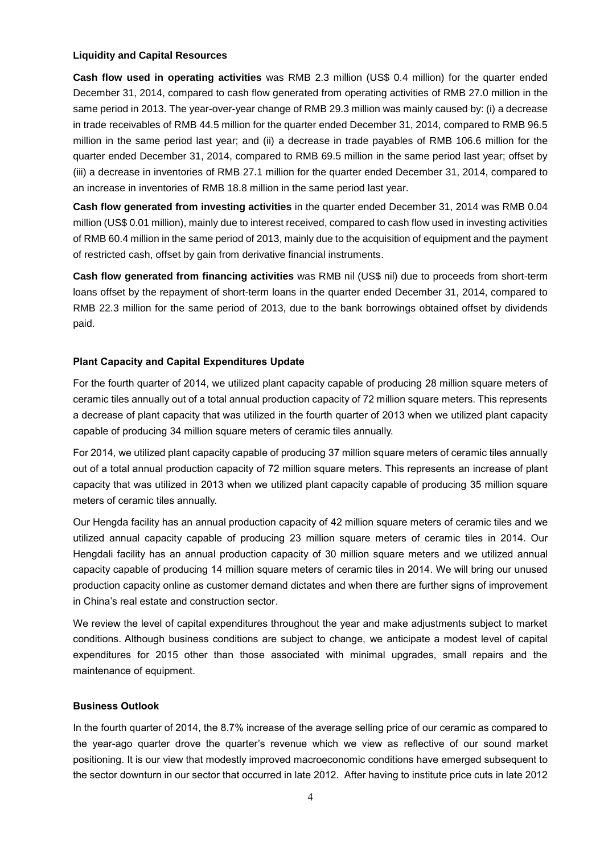#### **Liquidity and Capital Resources**

**Cash flow used in operating activities** was RMB 2.3 million (US\$ 0.4 million) for the quarter ended December 31, 2014, compared to cash flow generated from operating activities of RMB 27.0 million in the same period in 2013. The year-over-year change of RMB 29.3 million was mainly caused by: (i) a decrease in trade receivables of RMB 44.5 million for the quarter ended December 31, 2014, compared to RMB 96.5 million in the same period last year; and (ii) a decrease in trade payables of RMB 106.6 million for the quarter ended December 31, 2014, compared to RMB 69.5 million in the same period last year; offset by (iii) a decrease in inventories of RMB 27.1 million for the quarter ended December 31, 2014, compared to an increase in inventories of RMB 18.8 million in the same period last year.

**Cash flow generated from investing activities** in the quarter ended December 31, 2014 was RMB 0.04 million (US\$ 0.01 million), mainly due to interest received, compared to cash flow used in investing activities of RMB 60.4 million in the same period of 2013, mainly due to the acquisition of equipment and the payment of restricted cash, offset by gain from derivative financial instruments.

**Cash flow generated from financing activities** was RMB nil (US\$ nil) due to proceeds from short-term loans offset by the repayment of short-term loans in the quarter ended December 31, 2014, compared to RMB 22.3 million for the same period of 2013, due to the bank borrowings obtained offset by dividends paid.

### **Plant Capacity and Capital Expenditures Update**

For the fourth quarter of 2014, we utilized plant capacity capable of producing 28 million square meters of ceramic tiles annually out of a total annual production capacity of 72 million square meters. This represents a decrease of plant capacity that was utilized in the fourth quarter of 2013 when we utilized plant capacity capable of producing 34 million square meters of ceramic tiles annually.

For 2014, we utilized plant capacity capable of producing 37 million square meters of ceramic tiles annually out of a total annual production capacity of 72 million square meters. This represents an increase of plant capacity that was utilized in 2013 when we utilized plant capacity capable of producing 35 million square meters of ceramic tiles annually.

Our Hengda facility has an annual production capacity of 42 million square meters of ceramic tiles and we utilized annual capacity capable of producing 23 million square meters of ceramic tiles in 2014. Our Hengdali facility has an annual production capacity of 30 million square meters and we utilized annual capacity capable of producing 14 million square meters of ceramic tiles in 2014. We will bring our unused production capacity online as customer demand dictates and when there are further signs of improvement in China's real estate and construction sector.

We review the level of capital expenditures throughout the year and make adjustments subject to market conditions. Although business conditions are subject to change, we anticipate a modest level of capital expenditures for 2015 other than those associated with minimal upgrades, small repairs and the maintenance of equipment.

### **Business Outlook**

In the fourth quarter of 2014, the 8.7% increase of the average selling price of our ceramic as compared to the year-ago quarter drove the quarter's revenue which we view as reflective of our sound market positioning. It is our view that modestly improved macroeconomic conditions have emerged subsequent to the sector downturn in our sector that occurred in late 2012. After having to institute price cuts in late 2012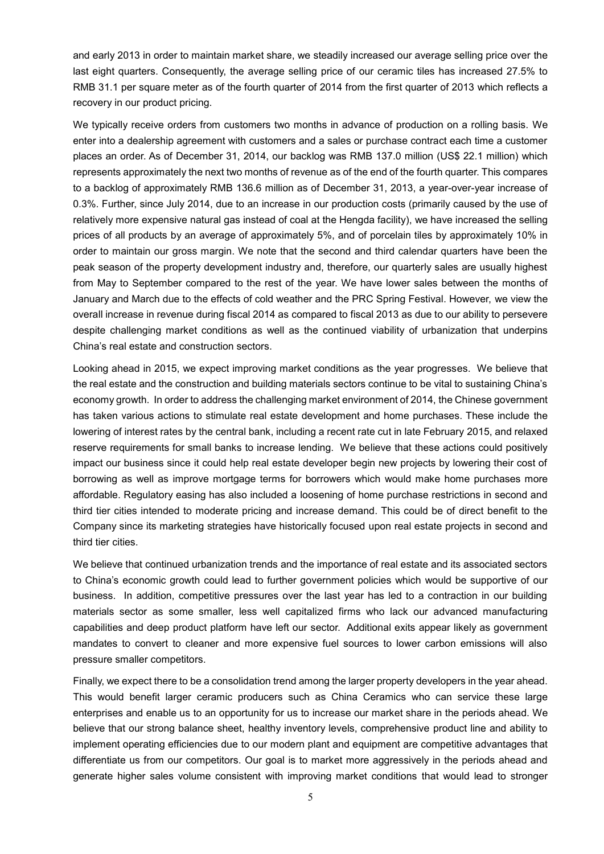and early 2013 in order to maintain market share, we steadily increased our average selling price over the last eight quarters. Consequently, the average selling price of our ceramic tiles has increased 27.5% to RMB 31.1 per square meter as of the fourth quarter of 2014 from the first quarter of 2013 which reflects a recovery in our product pricing.

We typically receive orders from customers two months in advance of production on a rolling basis. We enter into a dealership agreement with customers and a sales or purchase contract each time a customer places an order. As of December 31, 2014, our backlog was RMB 137.0 million (US\$ 22.1 million) which represents approximately the next two months of revenue as of the end of the fourth quarter. This compares to a backlog of approximately RMB 136.6 million as of December 31, 2013, a year-over-year increase of 0.3%. Further, since July 2014, due to an increase in our production costs (primarily caused by the use of relatively more expensive natural gas instead of coal at the Hengda facility), we have increased the selling prices of all products by an average of approximately 5%, and of porcelain tiles by approximately 10% in order to maintain our gross margin. We note that the second and third calendar quarters have been the peak season of the property development industry and, therefore, our quarterly sales are usually highest from May to September compared to the rest of the year. We have lower sales between the months of January and March due to the effects of cold weather and the PRC Spring Festival. However, we view the overall increase in revenue during fiscal 2014 as compared to fiscal 2013 as due to our ability to persevere despite challenging market conditions as well as the continued viability of urbanization that underpins China's real estate and construction sectors.

Looking ahead in 2015, we expect improving market conditions as the year progresses. We believe that the real estate and the construction and building materials sectors continue to be vital to sustaining China's economy growth. In order to address the challenging market environment of 2014, the Chinese government has taken various actions to stimulate real estate development and home purchases. These include the lowering of interest rates by the central bank, including a recent rate cut in late February 2015, and relaxed reserve requirements for small banks to increase lending. We believe that these actions could positively impact our business since it could help real estate developer begin new projects by lowering their cost of borrowing as well as improve mortgage terms for borrowers which would make home purchases more affordable. Regulatory easing has also included a loosening of home purchase restrictions in second and third tier cities intended to moderate pricing and increase demand. This could be of direct benefit to the Company since its marketing strategies have historically focused upon real estate projects in second and third tier cities.

We believe that continued urbanization trends and the importance of real estate and its associated sectors to China's economic growth could lead to further government policies which would be supportive of our business. In addition, competitive pressures over the last year has led to a contraction in our building materials sector as some smaller, less well capitalized firms who lack our advanced manufacturing capabilities and deep product platform have left our sector. Additional exits appear likely as government mandates to convert to cleaner and more expensive fuel sources to lower carbon emissions will also pressure smaller competitors.

Finally, we expect there to be a consolidation trend among the larger property developers in the year ahead. This would benefit larger ceramic producers such as China Ceramics who can service these large enterprises and enable us to an opportunity for us to increase our market share in the periods ahead. We believe that our strong balance sheet, healthy inventory levels, comprehensive product line and ability to implement operating efficiencies due to our modern plant and equipment are competitive advantages that differentiate us from our competitors. Our goal is to market more aggressively in the periods ahead and generate higher sales volume consistent with improving market conditions that would lead to stronger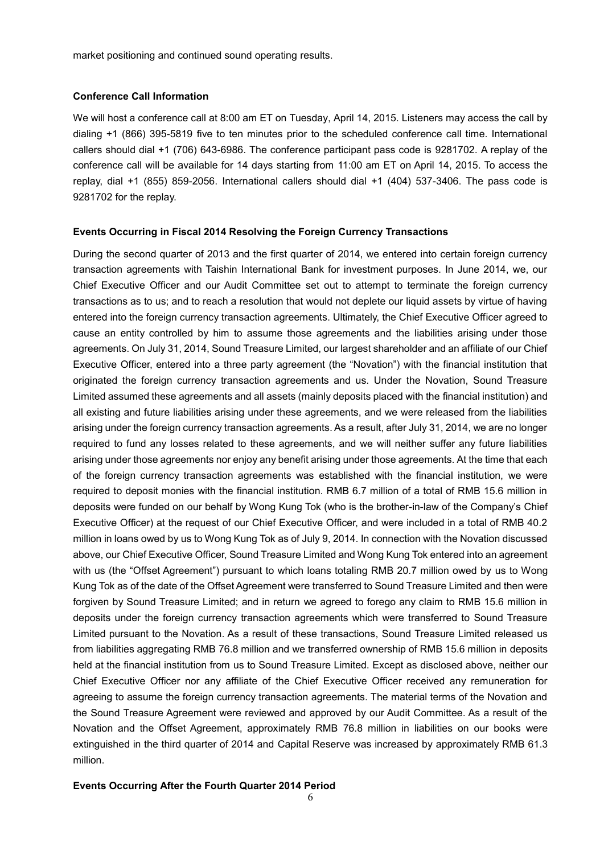market positioning and continued sound operating results.

#### **Conference Call Information**

We will host a conference call at 8:00 am ET on Tuesday, April 14, 2015. Listeners may access the call by dialing +1 (866) 395-5819 five to ten minutes prior to the scheduled conference call time. International callers should dial +1 (706) 643-6986. The conference participant pass code is 9281702. A replay of the conference call will be available for 14 days starting from 11:00 am ET on April 14, 2015. To access the replay, dial +1 (855) 859-2056. International callers should dial +1 (404) 537-3406. The pass code is 9281702 for the replay.

#### **Events Occurring in Fiscal 2014 Resolving the Foreign Currency Transactions**

During the second quarter of 2013 and the first quarter of 2014, we entered into certain foreign currency transaction agreements with Taishin International Bank for investment purposes. In June 2014, we, our Chief Executive Officer and our Audit Committee set out to attempt to terminate the foreign currency transactions as to us; and to reach a resolution that would not deplete our liquid assets by virtue of having entered into the foreign currency transaction agreements. Ultimately, the Chief Executive Officer agreed to cause an entity controlled by him to assume those agreements and the liabilities arising under those agreements. On July 31, 2014, Sound Treasure Limited, our largest shareholder and an affiliate of our Chief Executive Officer, entered into a three party agreement (the "Novation") with the financial institution that originated the foreign currency transaction agreements and us. Under the Novation, Sound Treasure Limited assumed these agreements and all assets (mainly deposits placed with the financial institution) and all existing and future liabilities arising under these agreements, and we were released from the liabilities arising under the foreign currency transaction agreements. As a result, after July 31, 2014, we are no longer required to fund any losses related to these agreements, and we will neither suffer any future liabilities arising under those agreements nor enjoy any benefit arising under those agreements. At the time that each of the foreign currency transaction agreements was established with the financial institution, we were required to deposit monies with the financial institution. RMB 6.7 million of a total of RMB 15.6 million in deposits were funded on our behalf by Wong Kung Tok (who is the brother-in-law of the Company's Chief Executive Officer) at the request of our Chief Executive Officer, and were included in a total of RMB 40.2 million in loans owed by us to Wong Kung Tok as of July 9, 2014. In connection with the Novation discussed above, our Chief Executive Officer, Sound Treasure Limited and Wong Kung Tok entered into an agreement with us (the "Offset Agreement") pursuant to which loans totaling RMB 20.7 million owed by us to Wong Kung Tok as of the date of the Offset Agreement were transferred to Sound Treasure Limited and then were forgiven by Sound Treasure Limited; and in return we agreed to forego any claim to RMB 15.6 million in deposits under the foreign currency transaction agreements which were transferred to Sound Treasure Limited pursuant to the Novation. As a result of these transactions, Sound Treasure Limited released us from liabilities aggregating RMB 76.8 million and we transferred ownership of RMB 15.6 million in deposits held at the financial institution from us to Sound Treasure Limited. Except as disclosed above, neither our Chief Executive Officer nor any affiliate of the Chief Executive Officer received any remuneration for agreeing to assume the foreign currency transaction agreements. The material terms of the Novation and the Sound Treasure Agreement were reviewed and approved by our Audit Committee. As a result of the Novation and the Offset Agreement, approximately RMB 76.8 million in liabilities on our books were extinguished in the third quarter of 2014 and Capital Reserve was increased by approximately RMB 61.3 million.

#### **Events Occurring After the Fourth Quarter 2014 Period**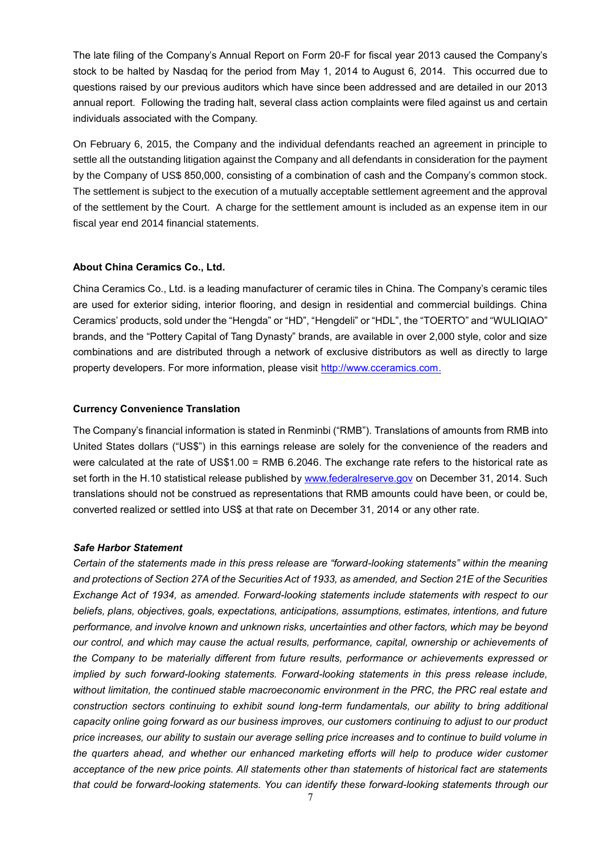The late filing of the Company's Annual Report on Form 20-F for fiscal year 2013 caused the Company's stock to be halted by Nasdaq for the period from May 1, 2014 to August 6, 2014. This occurred due to questions raised by our previous auditors which have since been addressed and are detailed in our 2013 annual report. Following the trading halt, several class action complaints were filed against us and certain individuals associated with the Company.

On February 6, 2015, the Company and the individual defendants reached an agreement in principle to settle all the outstanding litigation against the Company and all defendants in consideration for the payment by the Company of US\$ 850,000, consisting of a combination of cash and the Company's common stock. The settlement is subject to the execution of a mutually acceptable settlement agreement and the approval of the settlement by the Court. A charge for the settlement amount is included as an expense item in our fiscal year end 2014 financial statements.

#### **About China Ceramics Co., Ltd.**

China Ceramics Co., Ltd. is a leading manufacturer of ceramic tiles in China. The Company's ceramic tiles are used for exterior siding, interior flooring, and design in residential and commercial buildings. China Ceramics' products, sold under the "Hengda" or "HD", "Hengdeli" or "HDL", the "TOERTO" and "WULIQIAO" brands, and the "Pottery Capital of Tang Dynasty" brands, are available in over 2,000 style, color and size combinations and are distributed through a network of exclusive distributors as well as directly to large property developers. For more information, please visit [http://www.cceramics.com.](http://www.cceramics.com/)

#### **Currency Convenience Translation**

The Company's financial information is stated in Renminbi ("RMB"). Translations of amounts from RMB into United States dollars ("US\$") in this earnings release are solely for the convenience of the readers and were calculated at the rate of US\$1.00 = RMB 6.2046. The exchange rate refers to the historical rate as set forth in the H.10 statistical release published by [www.federalreserve.gov](http://www.federalreserve.gov/) on December 31, 2014. Such translations should not be construed as representations that RMB amounts could have been, or could be, converted realized or settled into US\$ at that rate on December 31, 2014 or any other rate.

#### *Safe Harbor Statement*

*Certain of the statements made in this press release are "forward-looking statements" within the meaning and protections of Section 27A of the Securities Act of 1933, as amended, and Section 21E of the Securities Exchange Act of 1934, as amended. Forward-looking statements include statements with respect to our beliefs, plans, objectives, goals, expectations, anticipations, assumptions, estimates, intentions, and future performance, and involve known and unknown risks, uncertainties and other factors, which may be beyond our control, and which may cause the actual results, performance, capital, ownership or achievements of the Company to be materially different from future results, performance or achievements expressed or implied by such forward-looking statements. Forward-looking statements in this press release include, without limitation, the continued stable macroeconomic environment in the PRC, the PRC real estate and construction sectors continuing to exhibit sound long-term fundamentals, our ability to bring additional capacity online going forward as our business improves, our customers continuing to adjust to our product price increases, our ability to sustain our average selling price increases and to continue to build volume in the quarters ahead, and whether our enhanced marketing efforts will help to produce wider customer acceptance of the new price points. All statements other than statements of historical fact are statements that could be forward-looking statements. You can identify these forward-looking statements through our*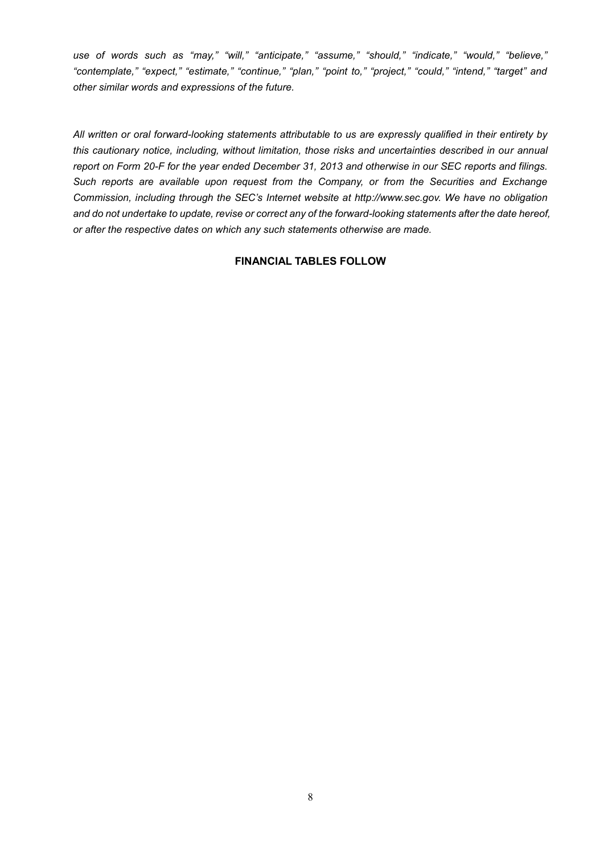*use of words such as "may," "will," "anticipate," "assume," "should," "indicate," "would," "believe," "contemplate," "expect," "estimate," "continue," "plan," "point to," "project," "could," "intend," "target" and other similar words and expressions of the future.* 

*All written or oral forward-looking statements attributable to us are expressly qualified in their entirety by this cautionary notice, including, without limitation, those risks and uncertainties described in our annual report on Form 20-F for the year ended December 31, 2013 and otherwise in our SEC reports and filings. Such reports are available upon request from the Company, or from the Securities and Exchange Commission, including through the SEC's Internet website at http://www.sec.gov. We have no obligation and do not undertake to update, revise or correct any of the forward-looking statements after the date hereof, or after the respective dates on which any such statements otherwise are made.*

## **FINANCIAL TABLES FOLLOW**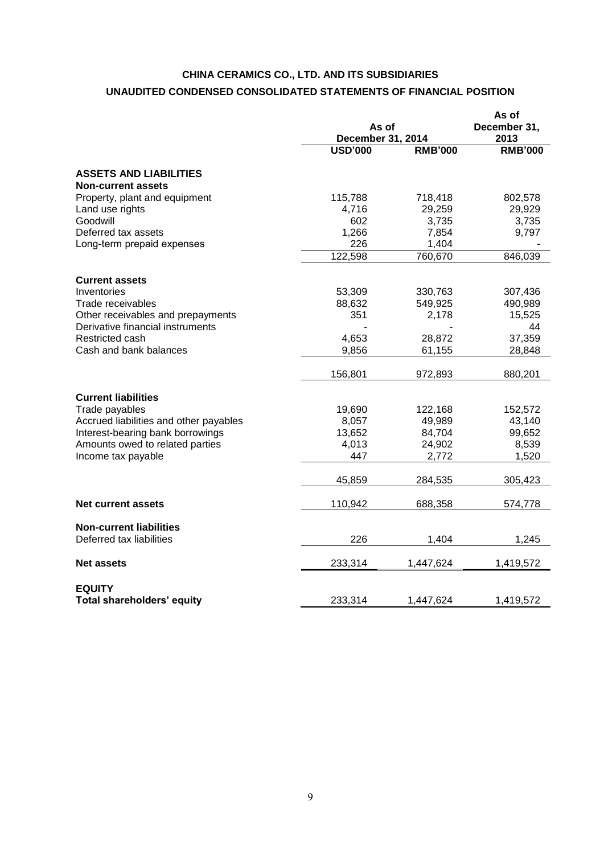## **CHINA CERAMICS CO., LTD. AND ITS SUBSIDIARIES UNAUDITED CONDENSED CONSOLIDATED STATEMENTS OF FINANCIAL POSITION**

|                                                          |                 | As of<br><b>December 31, 2014</b> |                   |
|----------------------------------------------------------|-----------------|-----------------------------------|-------------------|
|                                                          | <b>USD'000</b>  | <b>RMB'000</b>                    | <b>RMB'000</b>    |
| <b>ASSETS AND LIABILITIES</b>                            |                 |                                   |                   |
| <b>Non-current assets</b>                                |                 |                                   |                   |
| Property, plant and equipment                            | 115,788         | 718,418                           | 802,578           |
| Land use rights                                          | 4,716           | 29,259                            | 29,929            |
| Goodwill                                                 | 602             | 3,735                             | 3,735             |
| Deferred tax assets                                      | 1,266           | 7,854                             | 9,797             |
| Long-term prepaid expenses                               | 226             | 1,404                             |                   |
|                                                          | 122,598         | 760,670                           | 846,039           |
| <b>Current assets</b>                                    |                 |                                   |                   |
| Inventories                                              | 53,309          | 330,763                           | 307,436           |
| Trade receivables                                        | 88,632          | 549,925                           | 490,989           |
| Other receivables and prepayments                        | 351             | 2,178                             | 15,525            |
| Derivative financial instruments                         |                 |                                   | 44                |
| Restricted cash                                          | 4,653           | 28,872                            | 37,359            |
| Cash and bank balances                                   | 9,856           | 61,155                            | 28,848            |
|                                                          | 156,801         | 972,893                           | 880,201           |
|                                                          |                 |                                   |                   |
| <b>Current liabilities</b>                               |                 |                                   |                   |
| Trade payables<br>Accrued liabilities and other payables | 19,690<br>8,057 | 122,168<br>49,989                 | 152,572<br>43,140 |
| Interest-bearing bank borrowings                         | 13,652          | 84,704                            | 99,652            |
| Amounts owed to related parties                          | 4,013           | 24,902                            | 8,539             |
| Income tax payable                                       | 447             | 2,772                             | 1,520             |
|                                                          |                 |                                   |                   |
|                                                          | 45,859          | 284,535                           | 305,423           |
| <b>Net current assets</b>                                | 110,942         | 688,358                           | 574,778           |
| <b>Non-current liabilities</b>                           |                 |                                   |                   |
| Deferred tax liabilities                                 | 226             | 1,404                             | 1,245             |
| <b>Net assets</b>                                        | 233,314         | 1,447,624                         | 1,419,572         |
|                                                          |                 |                                   |                   |
| <b>EQUITY</b>                                            |                 |                                   |                   |
| Total shareholders' equity                               | 233,314         | 1,447,624                         | 1,419,572         |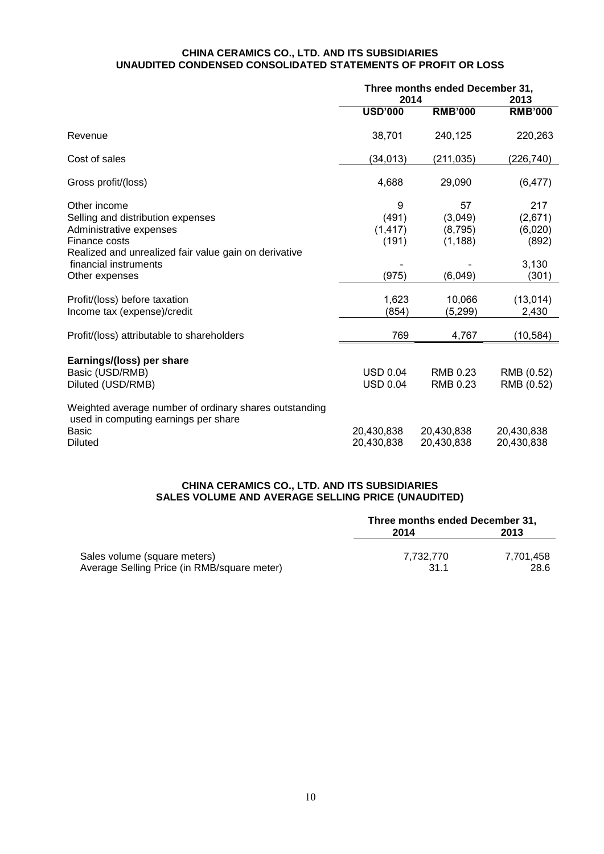#### **CHINA CERAMICS CO., LTD. AND ITS SUBSIDIARIES UNAUDITED CONDENSED CONSOLIDATED STATEMENTS OF PROFIT OR LOSS**

|                                                                                                                                                        | Three months ended December 31,<br>2014 |                                      | 2013                               |  |
|--------------------------------------------------------------------------------------------------------------------------------------------------------|-----------------------------------------|--------------------------------------|------------------------------------|--|
|                                                                                                                                                        | <b>USD'000</b>                          | <b>RMB'000</b>                       | <b>RMB'000</b>                     |  |
| Revenue                                                                                                                                                | 38,701                                  | 240,125                              | 220,263                            |  |
| Cost of sales                                                                                                                                          | (34, 013)                               | (211, 035)                           | (226, 740)                         |  |
| Gross profit/(loss)                                                                                                                                    | 4,688                                   | 29,090                               | (6, 477)                           |  |
| Other income<br>Selling and distribution expenses<br>Administrative expenses<br>Finance costs<br>Realized and unrealized fair value gain on derivative | 9<br>(491)<br>(1, 417)<br>(191)         | 57<br>(3,049)<br>(8,795)<br>(1, 188) | 217<br>(2,671)<br>(6,020)<br>(892) |  |
| financial instruments<br>Other expenses                                                                                                                | (975)                                   | (6,049)                              | 3,130<br>(301)                     |  |
| Profit/(loss) before taxation<br>Income tax (expense)/credit                                                                                           | 1,623<br>(854)                          | 10,066<br>(5,299)                    | (13, 014)<br>2,430                 |  |
| Profit/(loss) attributable to shareholders                                                                                                             | 769                                     | 4,767                                | (10, 584)                          |  |
| Earnings/(loss) per share<br>Basic (USD/RMB)<br>Diluted (USD/RMB)                                                                                      | <b>USD 0.04</b><br><b>USD 0.04</b>      | RMB 0.23<br>RMB 0.23                 | RMB (0.52)<br>RMB (0.52)           |  |
| Weighted average number of ordinary shares outstanding<br>used in computing earnings per share<br>Basic<br><b>Diluted</b>                              | 20,430,838<br>20,430,838                | 20,430,838<br>20,430,838             | 20,430,838<br>20,430,838           |  |

## **CHINA CERAMICS CO., LTD. AND ITS SUBSIDIARIES SALES VOLUME AND AVERAGE SELLING PRICE (UNAUDITED)**

|                                             | Three months ended December 31, |           |  |
|---------------------------------------------|---------------------------------|-----------|--|
|                                             | 2014                            | 2013      |  |
| Sales volume (square meters)                | 7.732.770                       | 7.701.458 |  |
| Average Selling Price (in RMB/square meter) | 311                             | 28.6      |  |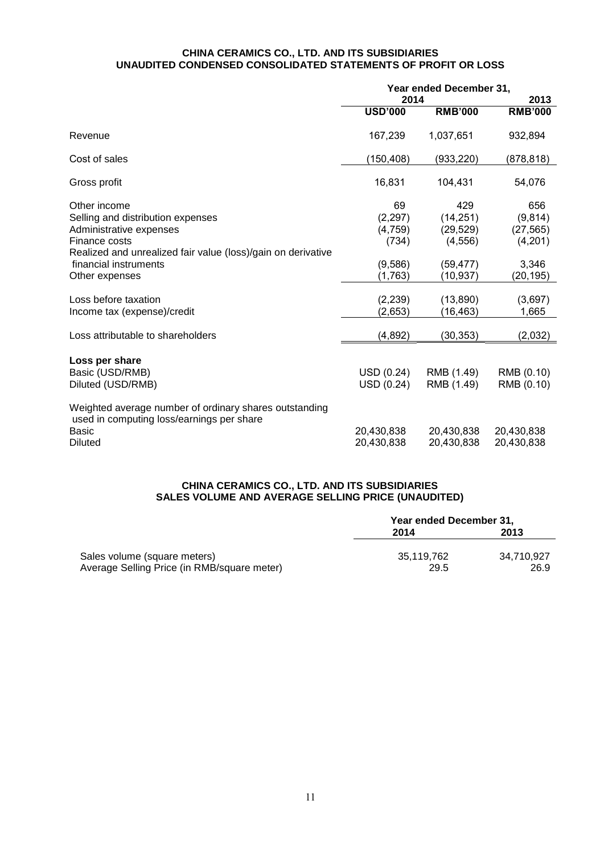#### **CHINA CERAMICS CO., LTD. AND ITS SUBSIDIARIES UNAUDITED CONDENSED CONSOLIDATED STATEMENTS OF PROFIT OR LOSS**

|                                                                                                     | Year ended December 31, |                |                |
|-----------------------------------------------------------------------------------------------------|-------------------------|----------------|----------------|
|                                                                                                     | 2014                    |                | 2013           |
|                                                                                                     | <b>USD'000</b>          | <b>RMB'000</b> | <b>RMB'000</b> |
| Revenue                                                                                             | 167,239                 | 1,037,651      | 932,894        |
| Cost of sales                                                                                       | (150, 408)              | (933, 220)     | (878, 818)     |
| Gross profit                                                                                        | 16,831                  | 104,431        | 54,076         |
| Other income                                                                                        | 69                      | 429            | 656            |
| Selling and distribution expenses                                                                   | (2, 297)                | (14, 251)      | (9,814)        |
| Administrative expenses                                                                             | (4,759)                 | (29, 529)      | (27, 565)      |
| Finance costs                                                                                       | (734)                   | (4, 556)       | (4,201)        |
| Realized and unrealized fair value (loss)/gain on derivative                                        |                         |                |                |
| financial instruments                                                                               | (9,586)                 | (59, 477)      | 3,346          |
| Other expenses                                                                                      | (1,763)                 | (10, 937)      | (20,195)       |
|                                                                                                     |                         |                |                |
| Loss before taxation                                                                                | (2, 239)                | (13,890)       | (3,697)        |
| Income tax (expense)/credit                                                                         | (2,653)                 | (16, 463)      | 1,665          |
| Loss attributable to shareholders                                                                   | (4,892)                 | (30, 353)      | (2,032)        |
|                                                                                                     |                         |                |                |
| Loss per share                                                                                      |                         |                |                |
| Basic (USD/RMB)                                                                                     | USD (0.24)              | RMB (1.49)     | RMB (0.10)     |
| Diluted (USD/RMB)                                                                                   | USD (0.24)              | RMB (1.49)     | RMB (0.10)     |
| Weighted average number of ordinary shares outstanding<br>used in computing loss/earnings per share |                         |                |                |
| Basic                                                                                               | 20,430,838              | 20,430,838     | 20,430,838     |
| <b>Diluted</b>                                                                                      | 20,430,838              | 20,430,838     | 20,430,838     |

## **CHINA CERAMICS CO., LTD. AND ITS SUBSIDIARIES SALES VOLUME AND AVERAGE SELLING PRICE (UNAUDITED)**

|                                                                             | Year ended December 31, |                    |  |
|-----------------------------------------------------------------------------|-------------------------|--------------------|--|
|                                                                             | 2014                    | 2013               |  |
| Sales volume (square meters)<br>Average Selling Price (in RMB/square meter) | 35.119.762<br>29.5      | 34.710.927<br>26.9 |  |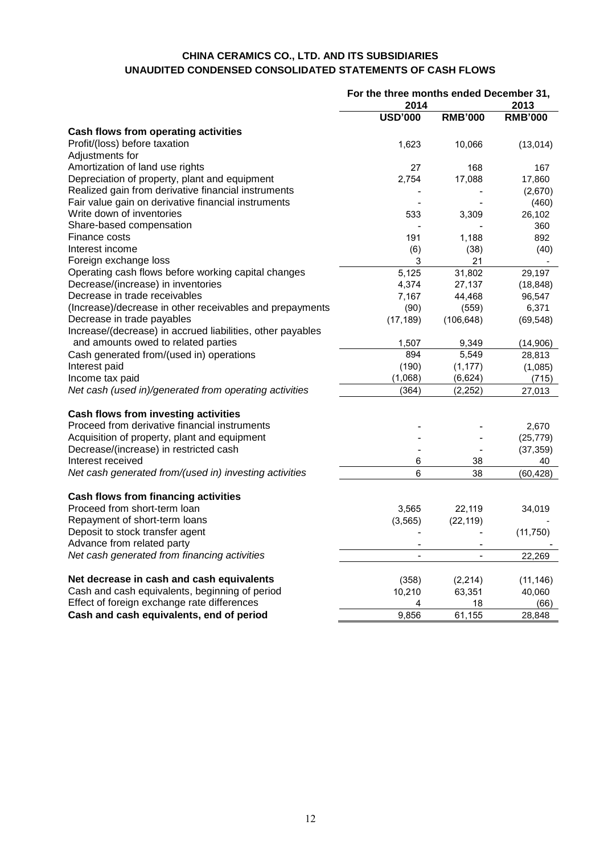## **CHINA CERAMICS CO., LTD. AND ITS SUBSIDIARIES UNAUDITED CONDENSED CONSOLIDATED STATEMENTS OF CASH FLOWS**

| 2014<br>2013<br><b>USD'000</b><br><b>RMB'000</b><br><b>RMB'000</b><br><b>Cash flows from operating activities</b><br>Profit/(loss) before taxation<br>1,623<br>10,066<br>(13,014)<br>Adjustments for<br>Amortization of land use rights<br>27<br>168<br>167<br>Depreciation of property, plant and equipment<br>2,754<br>17,088<br>17,860<br>Realized gain from derivative financial instruments<br>(2,670)<br>Fair value gain on derivative financial instruments<br>(460)<br>Write down of inventories<br>533<br>3,309<br>26,102<br>Share-based compensation<br>360<br>Finance costs<br>892<br>191<br>1,188<br>Interest income<br>(38)<br>(6)<br>(40)<br>Foreign exchange loss<br>3<br>21<br>Operating cash flows before working capital changes<br>5,125<br>31,802<br>29,197<br>Decrease/(increase) in inventories<br>4,374<br>27,137<br>(18, 848)<br>Decrease in trade receivables<br>7,167<br>44,468<br>96,547<br>(Increase)/decrease in other receivables and prepayments<br>(90)<br>(559)<br>6,371<br>Decrease in trade payables<br>(17, 189)<br>(106, 648)<br>(69, 548)<br>Increase/(decrease) in accrued liabilities, other payables<br>and amounts owed to related parties<br>1,507<br>9,349<br>(14,906)<br>Cash generated from/(used in) operations<br>894<br>5,549<br>28,813<br>Interest paid<br>(190)<br>(1, 177)<br>(1,085)<br>Income tax paid<br>(1,068)<br>(6,624)<br>(715)<br>Net cash (used in)/generated from operating activities<br>(364)<br>(2, 252)<br>27,013<br>Cash flows from investing activities<br>Proceed from derivative financial instruments<br>2,670<br>Acquisition of property, plant and equipment<br>(25, 779)<br>Decrease/(increase) in restricted cash<br>(37, 359)<br>Interest received<br>6<br>38<br>40<br>Net cash generated from/(used in) investing activities<br>6<br>38<br>(60, 428)<br>Proceed from short-term loan<br>3,565<br>22,119<br>34,019<br>Repayment of short-term loans<br>(3, 565)<br>(22, 119)<br>Deposit to stock transfer agent<br>(11, 750)<br>Advance from related party<br>Net cash generated from financing activities<br>22,269<br>Net decrease in cash and cash equivalents<br>(358)<br>(2, 214)<br>(11, 146)<br>Cash and cash equivalents, beginning of period<br>10,210<br>63,351<br>40,060<br>Effect of foreign exchange rate differences<br>4<br>18<br>(66) |                                          | For the three months ended December 31, |        |        |
|------------------------------------------------------------------------------------------------------------------------------------------------------------------------------------------------------------------------------------------------------------------------------------------------------------------------------------------------------------------------------------------------------------------------------------------------------------------------------------------------------------------------------------------------------------------------------------------------------------------------------------------------------------------------------------------------------------------------------------------------------------------------------------------------------------------------------------------------------------------------------------------------------------------------------------------------------------------------------------------------------------------------------------------------------------------------------------------------------------------------------------------------------------------------------------------------------------------------------------------------------------------------------------------------------------------------------------------------------------------------------------------------------------------------------------------------------------------------------------------------------------------------------------------------------------------------------------------------------------------------------------------------------------------------------------------------------------------------------------------------------------------------------------------------------------------------------------------------------------------------------------------------------------------------------------------------------------------------------------------------------------------------------------------------------------------------------------------------------------------------------------------------------------------------------------------------------------------------------------------------------------------------------------------------------------------------------------|------------------------------------------|-----------------------------------------|--------|--------|
|                                                                                                                                                                                                                                                                                                                                                                                                                                                                                                                                                                                                                                                                                                                                                                                                                                                                                                                                                                                                                                                                                                                                                                                                                                                                                                                                                                                                                                                                                                                                                                                                                                                                                                                                                                                                                                                                                                                                                                                                                                                                                                                                                                                                                                                                                                                                    |                                          |                                         |        |        |
|                                                                                                                                                                                                                                                                                                                                                                                                                                                                                                                                                                                                                                                                                                                                                                                                                                                                                                                                                                                                                                                                                                                                                                                                                                                                                                                                                                                                                                                                                                                                                                                                                                                                                                                                                                                                                                                                                                                                                                                                                                                                                                                                                                                                                                                                                                                                    |                                          |                                         |        |        |
|                                                                                                                                                                                                                                                                                                                                                                                                                                                                                                                                                                                                                                                                                                                                                                                                                                                                                                                                                                                                                                                                                                                                                                                                                                                                                                                                                                                                                                                                                                                                                                                                                                                                                                                                                                                                                                                                                                                                                                                                                                                                                                                                                                                                                                                                                                                                    |                                          |                                         |        |        |
|                                                                                                                                                                                                                                                                                                                                                                                                                                                                                                                                                                                                                                                                                                                                                                                                                                                                                                                                                                                                                                                                                                                                                                                                                                                                                                                                                                                                                                                                                                                                                                                                                                                                                                                                                                                                                                                                                                                                                                                                                                                                                                                                                                                                                                                                                                                                    |                                          |                                         |        |        |
|                                                                                                                                                                                                                                                                                                                                                                                                                                                                                                                                                                                                                                                                                                                                                                                                                                                                                                                                                                                                                                                                                                                                                                                                                                                                                                                                                                                                                                                                                                                                                                                                                                                                                                                                                                                                                                                                                                                                                                                                                                                                                                                                                                                                                                                                                                                                    |                                          |                                         |        |        |
|                                                                                                                                                                                                                                                                                                                                                                                                                                                                                                                                                                                                                                                                                                                                                                                                                                                                                                                                                                                                                                                                                                                                                                                                                                                                                                                                                                                                                                                                                                                                                                                                                                                                                                                                                                                                                                                                                                                                                                                                                                                                                                                                                                                                                                                                                                                                    |                                          |                                         |        |        |
|                                                                                                                                                                                                                                                                                                                                                                                                                                                                                                                                                                                                                                                                                                                                                                                                                                                                                                                                                                                                                                                                                                                                                                                                                                                                                                                                                                                                                                                                                                                                                                                                                                                                                                                                                                                                                                                                                                                                                                                                                                                                                                                                                                                                                                                                                                                                    |                                          |                                         |        |        |
|                                                                                                                                                                                                                                                                                                                                                                                                                                                                                                                                                                                                                                                                                                                                                                                                                                                                                                                                                                                                                                                                                                                                                                                                                                                                                                                                                                                                                                                                                                                                                                                                                                                                                                                                                                                                                                                                                                                                                                                                                                                                                                                                                                                                                                                                                                                                    |                                          |                                         |        |        |
|                                                                                                                                                                                                                                                                                                                                                                                                                                                                                                                                                                                                                                                                                                                                                                                                                                                                                                                                                                                                                                                                                                                                                                                                                                                                                                                                                                                                                                                                                                                                                                                                                                                                                                                                                                                                                                                                                                                                                                                                                                                                                                                                                                                                                                                                                                                                    |                                          |                                         |        |        |
|                                                                                                                                                                                                                                                                                                                                                                                                                                                                                                                                                                                                                                                                                                                                                                                                                                                                                                                                                                                                                                                                                                                                                                                                                                                                                                                                                                                                                                                                                                                                                                                                                                                                                                                                                                                                                                                                                                                                                                                                                                                                                                                                                                                                                                                                                                                                    |                                          |                                         |        |        |
|                                                                                                                                                                                                                                                                                                                                                                                                                                                                                                                                                                                                                                                                                                                                                                                                                                                                                                                                                                                                                                                                                                                                                                                                                                                                                                                                                                                                                                                                                                                                                                                                                                                                                                                                                                                                                                                                                                                                                                                                                                                                                                                                                                                                                                                                                                                                    |                                          |                                         |        |        |
|                                                                                                                                                                                                                                                                                                                                                                                                                                                                                                                                                                                                                                                                                                                                                                                                                                                                                                                                                                                                                                                                                                                                                                                                                                                                                                                                                                                                                                                                                                                                                                                                                                                                                                                                                                                                                                                                                                                                                                                                                                                                                                                                                                                                                                                                                                                                    |                                          |                                         |        |        |
|                                                                                                                                                                                                                                                                                                                                                                                                                                                                                                                                                                                                                                                                                                                                                                                                                                                                                                                                                                                                                                                                                                                                                                                                                                                                                                                                                                                                                                                                                                                                                                                                                                                                                                                                                                                                                                                                                                                                                                                                                                                                                                                                                                                                                                                                                                                                    |                                          |                                         |        |        |
|                                                                                                                                                                                                                                                                                                                                                                                                                                                                                                                                                                                                                                                                                                                                                                                                                                                                                                                                                                                                                                                                                                                                                                                                                                                                                                                                                                                                                                                                                                                                                                                                                                                                                                                                                                                                                                                                                                                                                                                                                                                                                                                                                                                                                                                                                                                                    |                                          |                                         |        |        |
|                                                                                                                                                                                                                                                                                                                                                                                                                                                                                                                                                                                                                                                                                                                                                                                                                                                                                                                                                                                                                                                                                                                                                                                                                                                                                                                                                                                                                                                                                                                                                                                                                                                                                                                                                                                                                                                                                                                                                                                                                                                                                                                                                                                                                                                                                                                                    |                                          |                                         |        |        |
|                                                                                                                                                                                                                                                                                                                                                                                                                                                                                                                                                                                                                                                                                                                                                                                                                                                                                                                                                                                                                                                                                                                                                                                                                                                                                                                                                                                                                                                                                                                                                                                                                                                                                                                                                                                                                                                                                                                                                                                                                                                                                                                                                                                                                                                                                                                                    |                                          |                                         |        |        |
|                                                                                                                                                                                                                                                                                                                                                                                                                                                                                                                                                                                                                                                                                                                                                                                                                                                                                                                                                                                                                                                                                                                                                                                                                                                                                                                                                                                                                                                                                                                                                                                                                                                                                                                                                                                                                                                                                                                                                                                                                                                                                                                                                                                                                                                                                                                                    |                                          |                                         |        |        |
|                                                                                                                                                                                                                                                                                                                                                                                                                                                                                                                                                                                                                                                                                                                                                                                                                                                                                                                                                                                                                                                                                                                                                                                                                                                                                                                                                                                                                                                                                                                                                                                                                                                                                                                                                                                                                                                                                                                                                                                                                                                                                                                                                                                                                                                                                                                                    |                                          |                                         |        |        |
|                                                                                                                                                                                                                                                                                                                                                                                                                                                                                                                                                                                                                                                                                                                                                                                                                                                                                                                                                                                                                                                                                                                                                                                                                                                                                                                                                                                                                                                                                                                                                                                                                                                                                                                                                                                                                                                                                                                                                                                                                                                                                                                                                                                                                                                                                                                                    |                                          |                                         |        |        |
|                                                                                                                                                                                                                                                                                                                                                                                                                                                                                                                                                                                                                                                                                                                                                                                                                                                                                                                                                                                                                                                                                                                                                                                                                                                                                                                                                                                                                                                                                                                                                                                                                                                                                                                                                                                                                                                                                                                                                                                                                                                                                                                                                                                                                                                                                                                                    |                                          |                                         |        |        |
|                                                                                                                                                                                                                                                                                                                                                                                                                                                                                                                                                                                                                                                                                                                                                                                                                                                                                                                                                                                                                                                                                                                                                                                                                                                                                                                                                                                                                                                                                                                                                                                                                                                                                                                                                                                                                                                                                                                                                                                                                                                                                                                                                                                                                                                                                                                                    |                                          |                                         |        |        |
|                                                                                                                                                                                                                                                                                                                                                                                                                                                                                                                                                                                                                                                                                                                                                                                                                                                                                                                                                                                                                                                                                                                                                                                                                                                                                                                                                                                                                                                                                                                                                                                                                                                                                                                                                                                                                                                                                                                                                                                                                                                                                                                                                                                                                                                                                                                                    |                                          |                                         |        |        |
|                                                                                                                                                                                                                                                                                                                                                                                                                                                                                                                                                                                                                                                                                                                                                                                                                                                                                                                                                                                                                                                                                                                                                                                                                                                                                                                                                                                                                                                                                                                                                                                                                                                                                                                                                                                                                                                                                                                                                                                                                                                                                                                                                                                                                                                                                                                                    |                                          |                                         |        |        |
|                                                                                                                                                                                                                                                                                                                                                                                                                                                                                                                                                                                                                                                                                                                                                                                                                                                                                                                                                                                                                                                                                                                                                                                                                                                                                                                                                                                                                                                                                                                                                                                                                                                                                                                                                                                                                                                                                                                                                                                                                                                                                                                                                                                                                                                                                                                                    |                                          |                                         |        |        |
|                                                                                                                                                                                                                                                                                                                                                                                                                                                                                                                                                                                                                                                                                                                                                                                                                                                                                                                                                                                                                                                                                                                                                                                                                                                                                                                                                                                                                                                                                                                                                                                                                                                                                                                                                                                                                                                                                                                                                                                                                                                                                                                                                                                                                                                                                                                                    |                                          |                                         |        |        |
|                                                                                                                                                                                                                                                                                                                                                                                                                                                                                                                                                                                                                                                                                                                                                                                                                                                                                                                                                                                                                                                                                                                                                                                                                                                                                                                                                                                                                                                                                                                                                                                                                                                                                                                                                                                                                                                                                                                                                                                                                                                                                                                                                                                                                                                                                                                                    |                                          |                                         |        |        |
|                                                                                                                                                                                                                                                                                                                                                                                                                                                                                                                                                                                                                                                                                                                                                                                                                                                                                                                                                                                                                                                                                                                                                                                                                                                                                                                                                                                                                                                                                                                                                                                                                                                                                                                                                                                                                                                                                                                                                                                                                                                                                                                                                                                                                                                                                                                                    |                                          |                                         |        |        |
|                                                                                                                                                                                                                                                                                                                                                                                                                                                                                                                                                                                                                                                                                                                                                                                                                                                                                                                                                                                                                                                                                                                                                                                                                                                                                                                                                                                                                                                                                                                                                                                                                                                                                                                                                                                                                                                                                                                                                                                                                                                                                                                                                                                                                                                                                                                                    |                                          |                                         |        |        |
|                                                                                                                                                                                                                                                                                                                                                                                                                                                                                                                                                                                                                                                                                                                                                                                                                                                                                                                                                                                                                                                                                                                                                                                                                                                                                                                                                                                                                                                                                                                                                                                                                                                                                                                                                                                                                                                                                                                                                                                                                                                                                                                                                                                                                                                                                                                                    |                                          |                                         |        |        |
|                                                                                                                                                                                                                                                                                                                                                                                                                                                                                                                                                                                                                                                                                                                                                                                                                                                                                                                                                                                                                                                                                                                                                                                                                                                                                                                                                                                                                                                                                                                                                                                                                                                                                                                                                                                                                                                                                                                                                                                                                                                                                                                                                                                                                                                                                                                                    |                                          |                                         |        |        |
|                                                                                                                                                                                                                                                                                                                                                                                                                                                                                                                                                                                                                                                                                                                                                                                                                                                                                                                                                                                                                                                                                                                                                                                                                                                                                                                                                                                                                                                                                                                                                                                                                                                                                                                                                                                                                                                                                                                                                                                                                                                                                                                                                                                                                                                                                                                                    |                                          |                                         |        |        |
|                                                                                                                                                                                                                                                                                                                                                                                                                                                                                                                                                                                                                                                                                                                                                                                                                                                                                                                                                                                                                                                                                                                                                                                                                                                                                                                                                                                                                                                                                                                                                                                                                                                                                                                                                                                                                                                                                                                                                                                                                                                                                                                                                                                                                                                                                                                                    |                                          |                                         |        |        |
|                                                                                                                                                                                                                                                                                                                                                                                                                                                                                                                                                                                                                                                                                                                                                                                                                                                                                                                                                                                                                                                                                                                                                                                                                                                                                                                                                                                                                                                                                                                                                                                                                                                                                                                                                                                                                                                                                                                                                                                                                                                                                                                                                                                                                                                                                                                                    | Cash flows from financing activities     |                                         |        |        |
|                                                                                                                                                                                                                                                                                                                                                                                                                                                                                                                                                                                                                                                                                                                                                                                                                                                                                                                                                                                                                                                                                                                                                                                                                                                                                                                                                                                                                                                                                                                                                                                                                                                                                                                                                                                                                                                                                                                                                                                                                                                                                                                                                                                                                                                                                                                                    |                                          |                                         |        |        |
|                                                                                                                                                                                                                                                                                                                                                                                                                                                                                                                                                                                                                                                                                                                                                                                                                                                                                                                                                                                                                                                                                                                                                                                                                                                                                                                                                                                                                                                                                                                                                                                                                                                                                                                                                                                                                                                                                                                                                                                                                                                                                                                                                                                                                                                                                                                                    |                                          |                                         |        |        |
|                                                                                                                                                                                                                                                                                                                                                                                                                                                                                                                                                                                                                                                                                                                                                                                                                                                                                                                                                                                                                                                                                                                                                                                                                                                                                                                                                                                                                                                                                                                                                                                                                                                                                                                                                                                                                                                                                                                                                                                                                                                                                                                                                                                                                                                                                                                                    |                                          |                                         |        |        |
|                                                                                                                                                                                                                                                                                                                                                                                                                                                                                                                                                                                                                                                                                                                                                                                                                                                                                                                                                                                                                                                                                                                                                                                                                                                                                                                                                                                                                                                                                                                                                                                                                                                                                                                                                                                                                                                                                                                                                                                                                                                                                                                                                                                                                                                                                                                                    |                                          |                                         |        |        |
|                                                                                                                                                                                                                                                                                                                                                                                                                                                                                                                                                                                                                                                                                                                                                                                                                                                                                                                                                                                                                                                                                                                                                                                                                                                                                                                                                                                                                                                                                                                                                                                                                                                                                                                                                                                                                                                                                                                                                                                                                                                                                                                                                                                                                                                                                                                                    |                                          |                                         |        |        |
|                                                                                                                                                                                                                                                                                                                                                                                                                                                                                                                                                                                                                                                                                                                                                                                                                                                                                                                                                                                                                                                                                                                                                                                                                                                                                                                                                                                                                                                                                                                                                                                                                                                                                                                                                                                                                                                                                                                                                                                                                                                                                                                                                                                                                                                                                                                                    |                                          |                                         |        |        |
|                                                                                                                                                                                                                                                                                                                                                                                                                                                                                                                                                                                                                                                                                                                                                                                                                                                                                                                                                                                                                                                                                                                                                                                                                                                                                                                                                                                                                                                                                                                                                                                                                                                                                                                                                                                                                                                                                                                                                                                                                                                                                                                                                                                                                                                                                                                                    |                                          |                                         |        |        |
|                                                                                                                                                                                                                                                                                                                                                                                                                                                                                                                                                                                                                                                                                                                                                                                                                                                                                                                                                                                                                                                                                                                                                                                                                                                                                                                                                                                                                                                                                                                                                                                                                                                                                                                                                                                                                                                                                                                                                                                                                                                                                                                                                                                                                                                                                                                                    |                                          |                                         |        |        |
|                                                                                                                                                                                                                                                                                                                                                                                                                                                                                                                                                                                                                                                                                                                                                                                                                                                                                                                                                                                                                                                                                                                                                                                                                                                                                                                                                                                                                                                                                                                                                                                                                                                                                                                                                                                                                                                                                                                                                                                                                                                                                                                                                                                                                                                                                                                                    | Cash and cash equivalents, end of period | 9,856                                   | 61,155 | 28,848 |